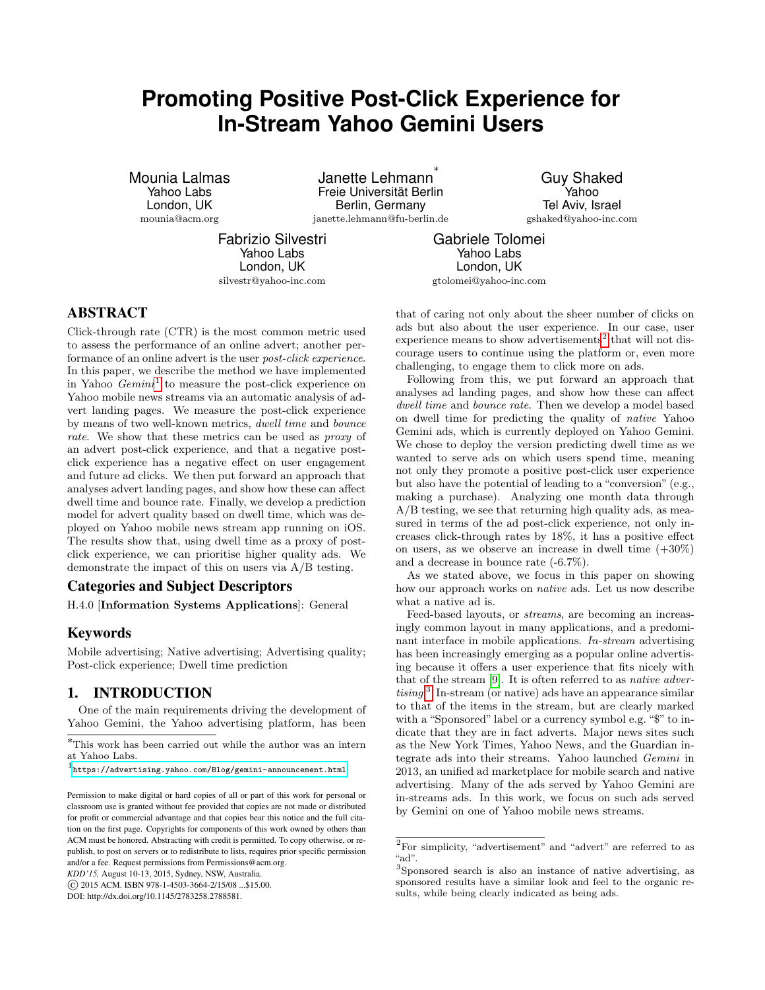# **Promoting Positive Post-Click Experience for In-Stream Yahoo Gemini Users**

Mounia Lalmas Yahoo Labs London, UK mounia@acm.org

Janette Lehmann ∗ Freie Universität Berlin Berlin, Germany janette.lehmann@fu-berlin.de

Guy Shaked Yahoo Tel Aviv, Israel gshaked@yahoo-inc.com

Fabrizio Silvestri Yahoo Labs London, UK silvestr@yahoo-inc.com

Gabriele Tolomei Yahoo Labs London, UK gtolomei@yahoo-inc.com

# ABSTRACT

Click-through rate (CTR) is the most common metric used to assess the performance of an online advert; another performance of an online advert is the user post-click experience. In this paper, we describe the method we have implemented in Yahoo  $Gemin<sup>1</sup>$  $Gemin<sup>1</sup>$  $Gemin<sup>1</sup>$  to measure the post-click experience on Yahoo mobile news streams via an automatic analysis of advert landing pages. We measure the post-click experience by means of two well-known metrics, dwell time and bounce rate. We show that these metrics can be used as *proxy* of an advert post-click experience, and that a negative postclick experience has a negative effect on user engagement and future ad clicks. We then put forward an approach that analyses advert landing pages, and show how these can affect dwell time and bounce rate. Finally, we develop a prediction model for advert quality based on dwell time, which was deployed on Yahoo mobile news stream app running on iOS. The results show that, using dwell time as a proxy of postclick experience, we can prioritise higher quality ads. We demonstrate the impact of this on users via A/B testing.

#### Categories and Subject Descriptors

H.4.0 [Information Systems Applications]: General

#### Keywords

Mobile advertising; Native advertising; Advertising quality; Post-click experience; Dwell time prediction

## 1. INTRODUCTION

One of the main requirements driving the development of Yahoo Gemini, the Yahoo advertising platform, has been

*KDD'15,* August 10-13, 2015, Sydney, NSW, Australia.

c 2015 ACM. ISBN 978-1-4503-3664-2/15/08 ...\$15.00.

DOI: http://dx.doi.org/10.1145/2783258.2788581.

that of caring not only about the sheer number of clicks on ads but also about the user experience. In our case, user experience means to show advertisements<sup>[2](#page-0-1)</sup> that will not discourage users to continue using the platform or, even more challenging, to engage them to click more on ads.

Following from this, we put forward an approach that analyses ad landing pages, and show how these can affect dwell time and bounce rate. Then we develop a model based on dwell time for predicting the quality of native Yahoo Gemini ads, which is currently deployed on Yahoo Gemini. We chose to deploy the version predicting dwell time as we wanted to serve ads on which users spend time, meaning not only they promote a positive post-click user experience but also have the potential of leading to a "conversion" (e.g., making a purchase). Analyzing one month data through A/B testing, we see that returning high quality ads, as measured in terms of the ad post-click experience, not only increases click-through rates by 18%, it has a positive effect on users, as we observe an increase in dwell time  $(+30\%)$ and a decrease in bounce rate (-6.7%).

As we stated above, we focus in this paper on showing how our approach works on native ads. Let us now describe what a native ad is.

Feed-based layouts, or streams, are becoming an increasingly common layout in many applications, and a predominant interface in mobile applications. In-stream advertising has been increasingly emerging as a popular online advertising because it offers a user experience that fits nicely with that of the stream [\[9\]](#page-9-0). It is often referred to as native advertising. [3](#page-0-2) In-stream (or native) ads have an appearance similar to that of the items in the stream, but are clearly marked with a "Sponsored" label or a currency symbol e.g. "\$" to indicate that they are in fact adverts. Major news sites such as the New York Times, Yahoo News, and the Guardian integrate ads into their streams. Yahoo launched Gemini in 2013, an unified ad marketplace for mobile search and native advertising. Many of the ads served by Yahoo Gemini are in-streams ads. In this work, we focus on such ads served by Gemini on one of Yahoo mobile news streams.

<sup>∗</sup>This work has been carried out while the author was an intern at Yahoo Labs.

<span id="page-0-0"></span><sup>1</sup> <https://advertising.yahoo.com/Blog/gemini-announcement.html>

Permission to make digital or hard copies of all or part of this work for personal or classroom use is granted without fee provided that copies are not made or distributed for profit or commercial advantage and that copies bear this notice and the full citation on the first page. Copyrights for components of this work owned by others than ACM must be honored. Abstracting with credit is permitted. To copy otherwise, or republish, to post on servers or to redistribute to lists, requires prior specific permission and/or a fee. Request permissions from Permissions@acm.org.

<span id="page-0-1"></span> ${\rm ^2}$  For simplicity, "advertisement" and "advert" are referred to as "ad".

<span id="page-0-2"></span><sup>3</sup> Sponsored search is also an instance of native advertising, as sponsored results have a similar look and feel to the organic results, while being clearly indicated as being ads.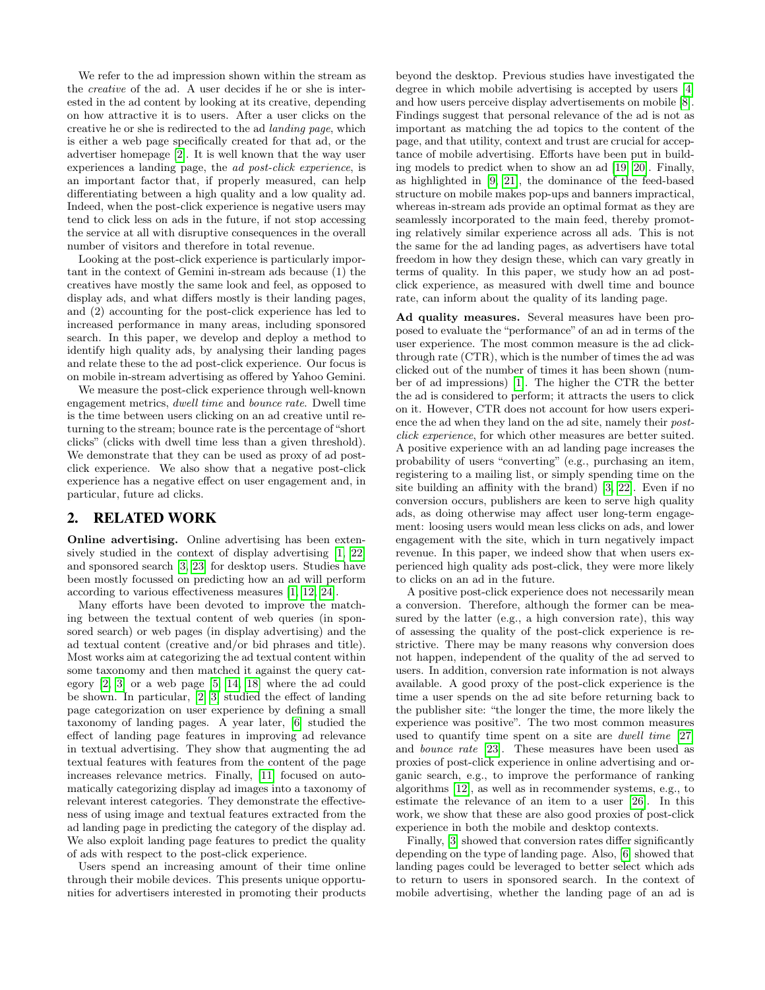We refer to the ad impression shown within the stream as the creative of the ad. A user decides if he or she is interested in the ad content by looking at its creative, depending on how attractive it is to users. After a user clicks on the creative he or she is redirected to the ad landing page, which is either a web page specifically created for that ad, or the advertiser homepage [\[2\]](#page-9-1). It is well known that the way user experiences a landing page, the ad post-click experience, is an important factor that, if properly measured, can help differentiating between a high quality and a low quality ad. Indeed, when the post-click experience is negative users may tend to click less on ads in the future, if not stop accessing the service at all with disruptive consequences in the overall number of visitors and therefore in total revenue.

Looking at the post-click experience is particularly important in the context of Gemini in-stream ads because (1) the creatives have mostly the same look and feel, as opposed to display ads, and what differs mostly is their landing pages, and (2) accounting for the post-click experience has led to increased performance in many areas, including sponsored search. In this paper, we develop and deploy a method to identify high quality ads, by analysing their landing pages and relate these to the ad post-click experience. Our focus is on mobile in-stream advertising as offered by Yahoo Gemini.

We measure the post-click experience through well-known engagement metrics, dwell time and bounce rate. Dwell time is the time between users clicking on an ad creative until returning to the stream; bounce rate is the percentage of "short clicks" (clicks with dwell time less than a given threshold). We demonstrate that they can be used as proxy of ad postclick experience. We also show that a negative post-click experience has a negative effect on user engagement and, in particular, future ad clicks.

## 2. RELATED WORK

Online advertising. Online advertising has been extensively studied in the context of display advertising [\[1,](#page-9-2) [22\]](#page-9-3) and sponsored search [\[3,](#page-9-4) [23\]](#page-9-5) for desktop users. Studies have been mostly focussed on predicting how an ad will perform according to various effectiveness measures [\[1,](#page-9-2) [12,](#page-9-6) [24\]](#page-9-7).

Many efforts have been devoted to improve the matching between the textual content of web queries (in sponsored search) or web pages (in display advertising) and the ad textual content (creative and/or bid phrases and title). Most works aim at categorizing the ad textual content within some taxonomy and then matched it against the query category [\[2,](#page-9-1) [3\]](#page-9-4) or a web page [\[5,](#page-9-8) [14,](#page-9-9) [18\]](#page-9-10) where the ad could be shown. In particular, [\[2,](#page-9-1) [3\]](#page-9-4) studied the effect of landing page categorization on user experience by defining a small taxonomy of landing pages. A year later, [\[6\]](#page-9-11) studied the effect of landing page features in improving ad relevance in textual advertising. They show that augmenting the ad textual features with features from the content of the page increases relevance metrics. Finally, [\[11\]](#page-9-12) focused on automatically categorizing display ad images into a taxonomy of relevant interest categories. They demonstrate the effectiveness of using image and textual features extracted from the ad landing page in predicting the category of the display ad. We also exploit landing page features to predict the quality of ads with respect to the post-click experience.

Users spend an increasing amount of their time online through their mobile devices. This presents unique opportunities for advertisers interested in promoting their products beyond the desktop. Previous studies have investigated the degree in which mobile advertising is accepted by users [\[4\]](#page-9-13) and how users perceive display advertisements on mobile [\[8\]](#page-9-14). Findings suggest that personal relevance of the ad is not as important as matching the ad topics to the content of the page, and that utility, context and trust are crucial for acceptance of mobile advertising. Efforts have been put in building models to predict when to show an ad [\[19,](#page-9-15) [20\]](#page-9-16). Finally, as highlighted in [\[9,](#page-9-0) [21\]](#page-9-17), the dominance of the feed-based structure on mobile makes pop-ups and banners impractical, whereas in-stream ads provide an optimal format as they are seamlessly incorporated to the main feed, thereby promoting relatively similar experience across all ads. This is not the same for the ad landing pages, as advertisers have total freedom in how they design these, which can vary greatly in terms of quality. In this paper, we study how an ad postclick experience, as measured with dwell time and bounce rate, can inform about the quality of its landing page.

Ad quality measures. Several measures have been proposed to evaluate the "performance" of an ad in terms of the user experience. The most common measure is the ad clickthrough rate (CTR), which is the number of times the ad was clicked out of the number of times it has been shown (number of ad impressions) [\[1\]](#page-9-2). The higher the CTR the better the ad is considered to perform; it attracts the users to click on it. However, CTR does not account for how users experience the ad when they land on the ad site, namely their postclick experience, for which other measures are better suited. A positive experience with an ad landing page increases the probability of users "converting" (e.g., purchasing an item, registering to a mailing list, or simply spending time on the site building an affinity with the brand) [\[3,](#page-9-4) [22\]](#page-9-3). Even if no conversion occurs, publishers are keen to serve high quality ads, as doing otherwise may affect user long-term engagement: loosing users would mean less clicks on ads, and lower engagement with the site, which in turn negatively impact revenue. In this paper, we indeed show that when users experienced high quality ads post-click, they were more likely to clicks on an ad in the future.

A positive post-click experience does not necessarily mean a conversion. Therefore, although the former can be measured by the latter (e.g., a high conversion rate), this way of assessing the quality of the post-click experience is restrictive. There may be many reasons why conversion does not happen, independent of the quality of the ad served to users. In addition, conversion rate information is not always available. A good proxy of the post-click experience is the time a user spends on the ad site before returning back to the publisher site: "the longer the time, the more likely the experience was positive". The two most common measures used to quantify time spent on a site are dwell time [\[27\]](#page-9-18) and bounce rate [\[23\]](#page-9-5). These measures have been used as proxies of post-click experience in online advertising and organic search, e.g., to improve the performance of ranking algorithms [\[12\]](#page-9-6), as well as in recommender systems, e.g., to estimate the relevance of an item to a user [\[26\]](#page-9-19). In this work, we show that these are also good proxies of post-click experience in both the mobile and desktop contexts.

Finally, [\[3\]](#page-9-4) showed that conversion rates differ significantly depending on the type of landing page. Also, [\[6\]](#page-9-11) showed that landing pages could be leveraged to better select which ads to return to users in sponsored search. In the context of mobile advertising, whether the landing page of an ad is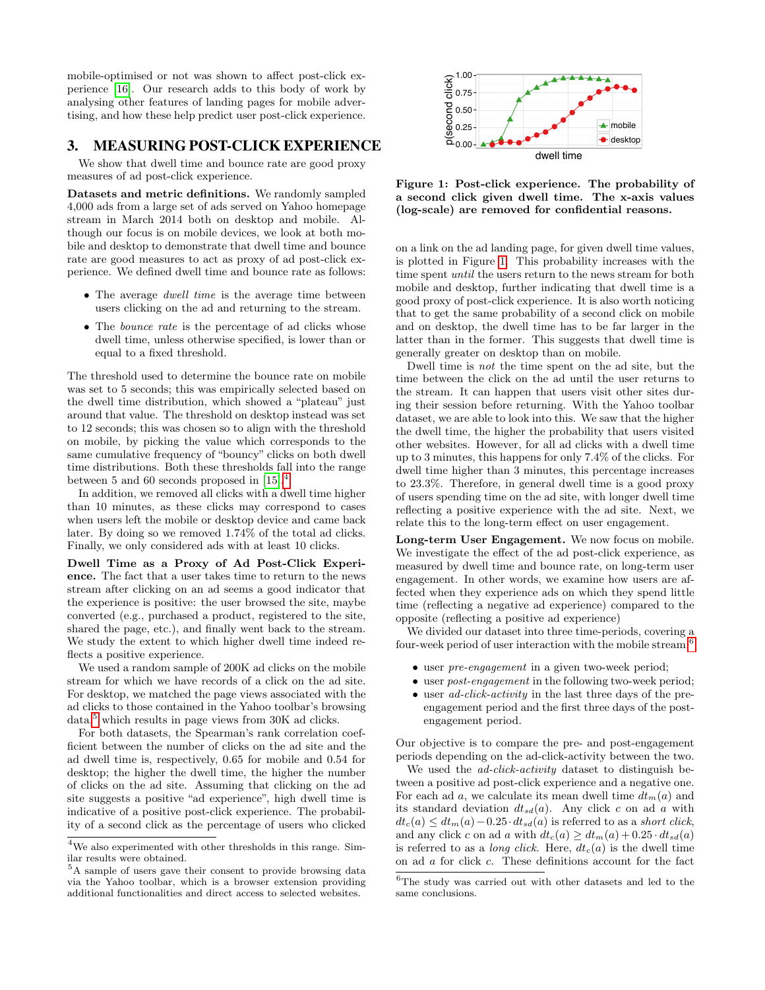mobile-optimised or not was shown to affect post-click experience [\[16\]](#page-9-20). Our research adds to this body of work by analysing other features of landing pages for mobile advertising, and how these help predict user post-click experience.

# <span id="page-2-4"></span>3. MEASURING POST-CLICK EXPERIENCE

We show that dwell time and bounce rate are good proxy measures of ad post-click experience.

Datasets and metric definitions. We randomly sampled 4,000 ads from a large set of ads served on Yahoo homepage stream in March 2014 both on desktop and mobile. Although our focus is on mobile devices, we look at both mobile and desktop to demonstrate that dwell time and bounce rate are good measures to act as proxy of ad post-click experience. We defined dwell time and bounce rate as follows:

- The average *dwell time* is the average time between users clicking on the ad and returning to the stream.
- The *bounce rate* is the percentage of ad clicks whose dwell time, unless otherwise specified, is lower than or equal to a fixed threshold.

The threshold used to determine the bounce rate on mobile was set to 5 seconds; this was empirically selected based on the dwell time distribution, which showed a "plateau" just around that value. The threshold on desktop instead was set to 12 seconds; this was chosen so to align with the threshold on mobile, by picking the value which corresponds to the same cumulative frequency of "bouncy" clicks on both dwell time distributions. Both these thresholds fall into the range between 5 and 60 seconds proposed in [\[15\]](#page-9-21).[4](#page-2-0)

In addition, we removed all clicks with a dwell time higher than 10 minutes, as these clicks may correspond to cases when users left the mobile or desktop device and came back later. By doing so we removed 1.74% of the total ad clicks. Finally, we only considered ads with at least 10 clicks.

Dwell Time as a Proxy of Ad Post-Click Experience. The fact that a user takes time to return to the news stream after clicking on an ad seems a good indicator that the experience is positive: the user browsed the site, maybe converted (e.g., purchased a product, registered to the site, shared the page, etc.), and finally went back to the stream. We study the extent to which higher dwell time indeed reflects a positive experience.

We used a random sample of 200K ad clicks on the mobile stream for which we have records of a click on the ad site. For desktop, we matched the page views associated with the ad clicks to those contained in the Yahoo toolbar's browsing  $data<sup>5</sup>$  $data<sup>5</sup>$  $data<sup>5</sup>$  which results in page views from 30K ad clicks.

For both datasets, the Spearman's rank correlation coefficient between the number of clicks on the ad site and the ad dwell time is, respectively, 0.65 for mobile and 0.54 for desktop; the higher the dwell time, the higher the number of clicks on the ad site. Assuming that clicking on the ad site suggests a positive "ad experience", high dwell time is indicative of a positive post-click experience. The probability of a second click as the percentage of users who clicked



<span id="page-2-2"></span>Figure 1: Post-click experience. The probability of a second click given dwell time. The x-axis values (log-scale) are removed for confidential reasons.

on a link on the ad landing page, for given dwell time values, is plotted in Figure [1.](#page-2-2) This probability increases with the time spent until the users return to the news stream for both mobile and desktop, further indicating that dwell time is a good proxy of post-click experience. It is also worth noticing that to get the same probability of a second click on mobile and on desktop, the dwell time has to be far larger in the latter than in the former. This suggests that dwell time is generally greater on desktop than on mobile.

Dwell time is not the time spent on the ad site, but the time between the click on the ad until the user returns to the stream. It can happen that users visit other sites during their session before returning. With the Yahoo toolbar dataset, we are able to look into this. We saw that the higher the dwell time, the higher the probability that users visited other websites. However, for all ad clicks with a dwell time up to 3 minutes, this happens for only 7.4% of the clicks. For dwell time higher than 3 minutes, this percentage increases to 23.3%. Therefore, in general dwell time is a good proxy of users spending time on the ad site, with longer dwell time reflecting a positive experience with the ad site. Next, we relate this to the long-term effect on user engagement.

Long-term User Engagement. We now focus on mobile. We investigate the effect of the ad post-click experience, as measured by dwell time and bounce rate, on long-term user engagement. In other words, we examine how users are affected when they experience ads on which they spend little time (reflecting a negative ad experience) compared to the opposite (reflecting a positive ad experience)

We divided our dataset into three time-periods, covering a four-week period of user interaction with the mobile stream:[6](#page-2-3)

- user pre-engagement in a given two-week period;
- user *post-engagement* in the following two-week period;
- user *ad-click-activity* in the last three days of the preengagement period and the first three days of the postengagement period.

Our objective is to compare the pre- and post-engagement periods depending on the ad-click-activity between the two.

We used the *ad-click-activity* dataset to distinguish between a positive ad post-click experience and a negative one. For each ad a, we calculate its mean dwell time  $dt_m(a)$  and its standard deviation  $dt_{sd}(a)$ . Any click c on ad a with  $dt_c(a) \leq dt_m(a) - 0.25 \cdot dt_{sd}(a)$  is referred to as a short click, and any click c on ad a with  $dt_c(a) \geq dt_m(a) + 0.25 \cdot dt_{sd}(a)$ is referred to as a *long click*. Here,  $dt_c(a)$  is the dwell time on ad a for click c. These definitions account for the fact

<span id="page-2-0"></span> $^4\mathrm{We}$  also experimented with other thresholds in this range. Similar results were obtained.

<span id="page-2-1"></span> $^5\mathrm{A}$  sample of users gave their consent to provide browsing data via the Yahoo toolbar, which is a browser extension providing additional functionalities and direct access to selected websites.

<span id="page-2-3"></span> ${}^{6}{\rm The}$  study was carried out with other datasets and led to the same conclusions.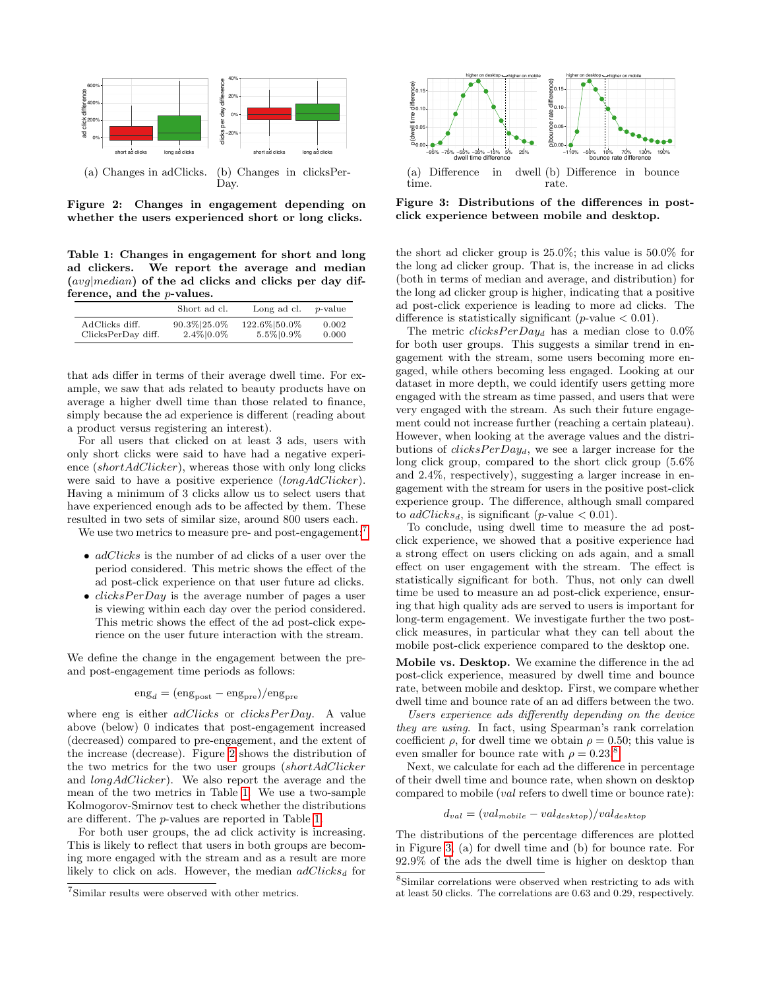

<span id="page-3-1"></span>Figure 2: Changes in engagement depending on whether the users experienced short or long clicks.

<span id="page-3-2"></span>Table 1: Changes in engagement for short and long ad clickers. We report the average and median (avg|median) of the ad clicks and clicks per day difference, and the p-values.

|                    | Short ad cl. | Long ad cl.  | <i>p</i> -value |
|--------------------|--------------|--------------|-----------------|
| AdClicks diff.     | 90.3% 25.0%  | 122.6% 50.0% | 0.002           |
| ClicksPerDay diff. | 2.4% 0.0%    | 5.5% 0.9%    | 0.000           |

that ads differ in terms of their average dwell time. For example, we saw that ads related to beauty products have on average a higher dwell time than those related to finance, simply because the ad experience is different (reading about a product versus registering an interest).

For all users that clicked on at least 3 ads, users with only short clicks were said to have had a negative experience (shortAdClicker), whereas those with only long clicks were said to have a positive experience (longAdClicker). Having a minimum of 3 clicks allow us to select users that have experienced enough ads to be affected by them. These resulted in two sets of similar size, around 800 users each.

We use two metrics to measure pre- and post-engagement:<sup>[7](#page-3-0)</sup>

- *adClicks* is the number of ad clicks of a user over the period considered. This metric shows the effect of the ad post-click experience on that user future ad clicks.
- $clicksPerDay$  is the average number of pages a user is viewing within each day over the period considered. This metric shows the effect of the ad post-click experience on the user future interaction with the stream.

We define the change in the engagement between the preand post-engagement time periods as follows:

$$
eng_d = (eng_{post} - eng_{pre})/eng_{pre}
$$

where eng is either  $adClicks$  or  $clicksPerDay$ . A value above (below) 0 indicates that post-engagement increased (decreased) compared to pre-engagement, and the extent of the increase (decrease). Figure [2](#page-3-1) shows the distribution of the two metrics for the two user groups (shortAdClicker and longAdClicker). We also report the average and the mean of the two metrics in Table [1.](#page-3-2) We use a two-sample Kolmogorov-Smirnov test to check whether the distributions are different. The p-values are reported in Table [1.](#page-3-2)

For both user groups, the ad click activity is increasing. This is likely to reflect that users in both groups are becoming more engaged with the stream and as a result are more likely to click on ads. However, the median  $adClicks_d$  for

<span id="page-3-5"></span>

<span id="page-3-6"></span><span id="page-3-4"></span>Figure 3: Distributions of the differences in postclick experience between mobile and desktop.

the short ad clicker group is 25.0%; this value is 50.0% for the long ad clicker group. That is, the increase in ad clicks (both in terms of median and average, and distribution) for the long ad clicker group is higher, indicating that a positive ad post-click experience is leading to more ad clicks. The difference is statistically significant (*p*-value  $< 0.01$ ).

The metric  $clicksPerDay_d$  has a median close to 0.0% for both user groups. This suggests a similar trend in engagement with the stream, some users becoming more engaged, while others becoming less engaged. Looking at our dataset in more depth, we could identify users getting more engaged with the stream as time passed, and users that were very engaged with the stream. As such their future engagement could not increase further (reaching a certain plateau). However, when looking at the average values and the distributions of  $clicksPerDay_d$ , we see a larger increase for the long click group, compared to the short click group (5.6% and 2.4%, respectively), suggesting a larger increase in engagement with the stream for users in the positive post-click experience group. The difference, although small compared to  $adClicks_d$ , is significant (*p*-value  $< 0.01$ ).

To conclude, using dwell time to measure the ad postclick experience, we showed that a positive experience had a strong effect on users clicking on ads again, and a small effect on user engagement with the stream. The effect is statistically significant for both. Thus, not only can dwell time be used to measure an ad post-click experience, ensuring that high quality ads are served to users is important for long-term engagement. We investigate further the two postclick measures, in particular what they can tell about the mobile post-click experience compared to the desktop one.

Mobile vs. Desktop. We examine the difference in the ad post-click experience, measured by dwell time and bounce rate, between mobile and desktop. First, we compare whether dwell time and bounce rate of an ad differs between the two.

Users experience ads differently depending on the device they are using. In fact, using Spearman's rank correlation coefficient  $\rho$ , for dwell time we obtain  $\rho = 0.50$ ; this value is even smaller for bounce rate with  $\rho = 0.23$ .<sup>[8](#page-3-3)</sup>

Next, we calculate for each ad the difference in percentage of their dwell time and bounce rate, when shown on desktop compared to mobile (val refers to dwell time or bounce rate):

$$
d_{val} = (val_{mobile} - val_{desttop})/val_{desttop}
$$

The distributions of the percentage differences are plotted in Figure [3,](#page-3-4) (a) for dwell time and (b) for bounce rate. For 92.9% of the ads the dwell time is higher on desktop than

<span id="page-3-0"></span><sup>7</sup> Similar results were observed with other metrics.

<span id="page-3-3"></span><sup>8</sup> Similar correlations were observed when restricting to ads with at least 50 clicks. The correlations are 0.63 and 0.29, respectively.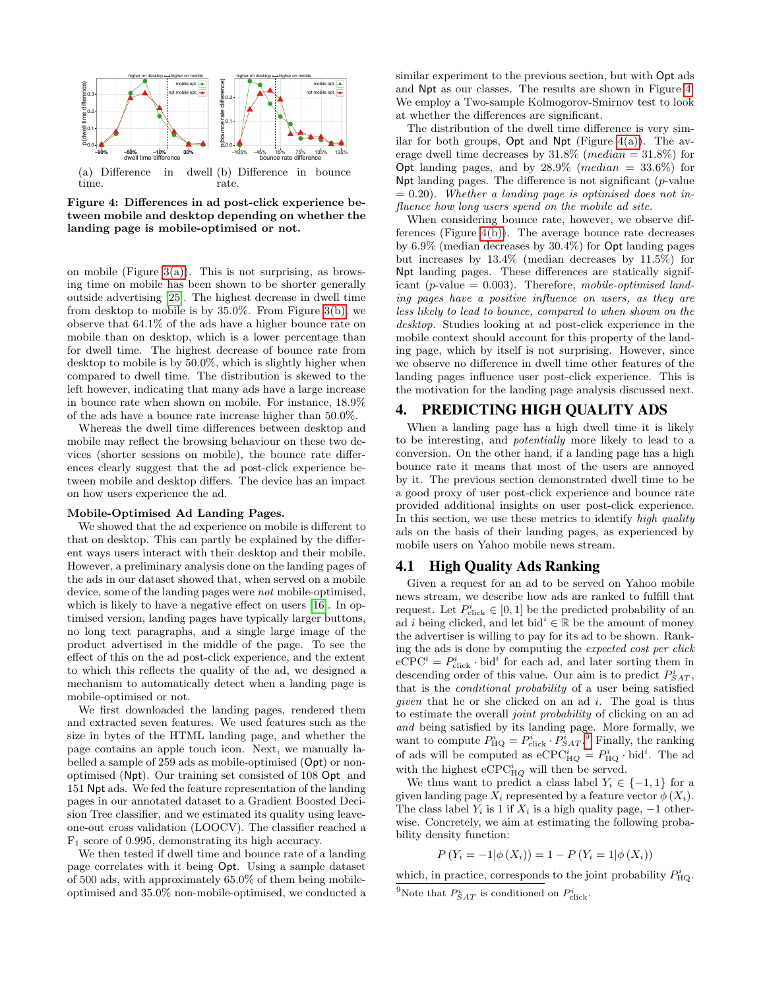<span id="page-4-1"></span>

<span id="page-4-2"></span><span id="page-4-0"></span>Figure 4: Differences in ad post-click experience between mobile and desktop depending on whether the landing page is mobile-optimised or not.

on mobile (Figure [3\(a\)\)](#page-3-5). This is not surprising, as browsing time on mobile has been shown to be shorter generally outside advertising [\[25\]](#page-9-22). The highest decrease in dwell time from desktop to mobile is by 35.0%. From Figure [3\(b\),](#page-3-6) we observe that 64.1% of the ads have a higher bounce rate on mobile than on desktop, which is a lower percentage than for dwell time. The highest decrease of bounce rate from desktop to mobile is by 50.0%, which is slightly higher when compared to dwell time. The distribution is skewed to the left however, indicating that many ads have a large increase in bounce rate when shown on mobile. For instance, 18.9% of the ads have a bounce rate increase higher than 50.0%.

Whereas the dwell time differences between desktop and mobile may reflect the browsing behaviour on these two devices (shorter sessions on mobile), the bounce rate differences clearly suggest that the ad post-click experience between mobile and desktop differs. The device has an impact on how users experience the ad.

#### Mobile-Optimised Ad Landing Pages.

We showed that the ad experience on mobile is different to that on desktop. This can partly be explained by the different ways users interact with their desktop and their mobile. However, a preliminary analysis done on the landing pages of the ads in our dataset showed that, when served on a mobile device, some of the landing pages were not mobile-optimised, which is likely to have a negative effect on users [\[16\]](#page-9-20). In optimised version, landing pages have typically larger buttons, no long text paragraphs, and a single large image of the product advertised in the middle of the page. To see the effect of this on the ad post-click experience, and the extent to which this reflects the quality of the ad, we designed a mechanism to automatically detect when a landing page is mobile-optimised or not.

We first downloaded the landing pages, rendered them and extracted seven features. We used features such as the size in bytes of the HTML landing page, and whether the page contains an apple touch icon. Next, we manually labelled a sample of 259 ads as mobile-optimised (Opt) or nonoptimised (Npt). Our training set consisted of 108 Opt and 151 Npt ads. We fed the feature representation of the landing pages in our annotated dataset to a Gradient Boosted Decision Tree classifier, and we estimated its quality using leaveone-out cross validation (LOOCV). The classifier reached a  $F_1$  score of 0.995, demonstrating its high accuracy.

We then tested if dwell time and bounce rate of a landing page correlates with it being Opt. Using a sample dataset of 500 ads, with approximately 65.0% of them being mobileoptimised and 35.0% non-mobile-optimised, we conducted a similar experiment to the previous section, but with Opt ads and Npt as our classes. The results are shown in Figure [4.](#page-4-0) We employ a Two-sample Kolmogorov-Smirnov test to look at whether the differences are significant.

The distribution of the dwell time difference is very similar for both groups,  $Opt$  and  $Npt$  (Figure [4\(a\)\)](#page-4-1). The average dwell time decreases by  $31.8\%$  (*median* =  $31.8\%$ ) for Opt landing pages, and by  $28.9\%$  (*median* =  $33.6\%$ ) for Npt landing pages. The difference is not significant  $(p$ -value  $= 0.20$ ). Whether a landing page is optimised does not influence how long users spend on the mobile ad site.

When considering bounce rate, however, we observe differences (Figure [4\(b\)\)](#page-4-2). The average bounce rate decreases by 6.9% (median decreases by 30.4%) for Opt landing pages but increases by 13.4% (median decreases by 11.5%) for Npt landing pages. These differences are statically significant (p-value  $= 0.003$ ). Therefore, mobile-optimised landing pages have a positive influence on users, as they are less likely to lead to bounce, compared to when shown on the desktop. Studies looking at ad post-click experience in the mobile context should account for this property of the landing page, which by itself is not surprising. However, since we observe no difference in dwell time other features of the landing pages influence user post-click experience. This is the motivation for the landing page analysis discussed next.

#### 4. PREDICTING HIGH QUALITY ADS

When a landing page has a high dwell time it is likely to be interesting, and potentially more likely to lead to a conversion. On the other hand, if a landing page has a high bounce rate it means that most of the users are annoyed by it. The previous section demonstrated dwell time to be a good proxy of user post-click experience and bounce rate provided additional insights on user post-click experience. In this section, we use these metrics to identify high quality ads on the basis of their landing pages, as experienced by mobile users on Yahoo mobile news stream.

#### 4.1 High Quality Ads Ranking

Given a request for an ad to be served on Yahoo mobile news stream, we describe how ads are ranked to fulfill that request. Let  $P_{\text{click}}^i \in [0, 1]$  be the predicted probability of an ad i being clicked, and let bid<sup>i</sup>  $\in \mathbb{R}$  be the amount of money the advertiser is willing to pay for its ad to be shown. Ranking the ads is done by computing the expected cost per click  $e$ ceCPC<sup>*i*</sup> =  $P_{\text{click}}^i \cdot \text{bid}^i$  for each ad, and later sorting them in descending order of this value. Our aim is to predict  $P_{SAT}^i$ , that is the conditional probability of a user being satisfied given that he or she clicked on an ad  $i$ . The goal is thus to estimate the overall joint probability of clicking on an ad and being satisfied by its landing page. More formally, we want to compute  $P_{\rm HQ}^i = P_{\rm click}^i \cdot P_{SAT}^i$ . Finally, the ranking of ads will be computed as  $eCPC_{HQ}^i = P_{HQ}^i \cdot bid^i$ . The ad with the highest  $eCPC_{HQ}^i$  will then be served.

We thus want to predict a class label  $Y_i \in \{-1,1\}$  for a given landing page  $X_i$  represented by a feature vector  $\phi(X_i)$ . The class label  $Y_i$  is 1 if  $X_i$  is a high quality page,  $-1$  otherwise. Concretely, we aim at estimating the following probability density function:

$$
P(Y_i = -1 | \phi(X_i)) = 1 - P(Y_i = 1 | \phi(X_i))
$$

which, in practice, corresponds to the joint probability  $P_{\text{HQ}}^i$ .

<span id="page-4-3"></span><sup>&</sup>lt;sup>9</sup>Note that  $P_{SAT}^i$  is conditioned on  $P_{\text{click}}^i$ .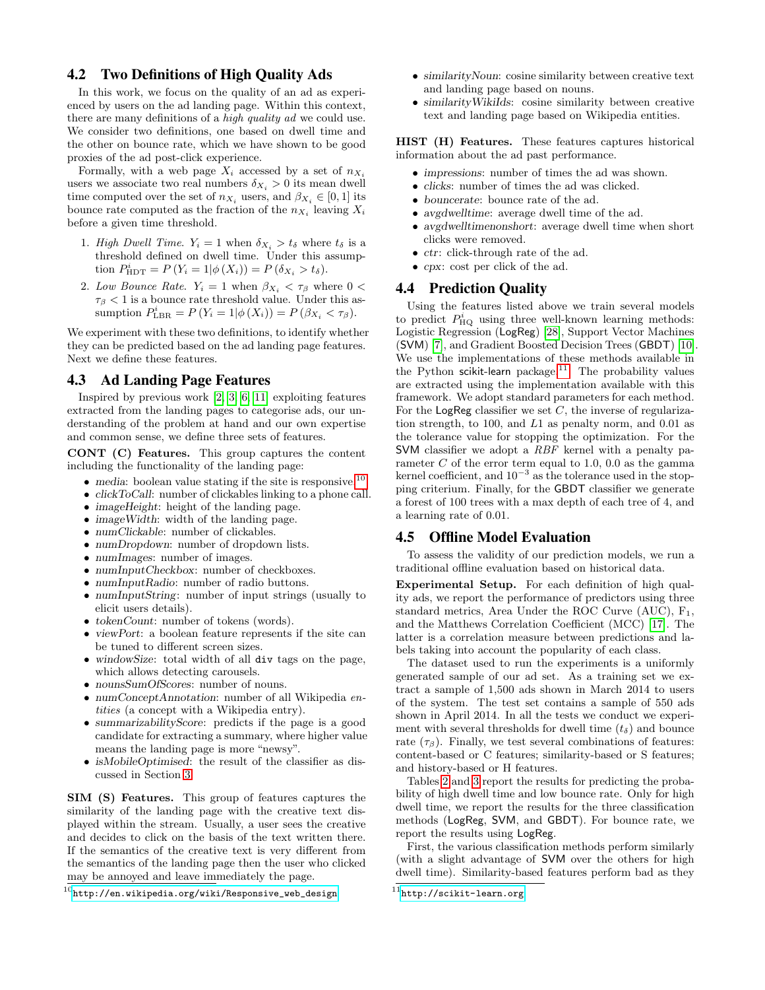## 4.2 Two Definitions of High Quality Ads

In this work, we focus on the quality of an ad as experienced by users on the ad landing page. Within this context, there are many definitions of a high quality ad we could use. We consider two definitions, one based on dwell time and the other on bounce rate, which we have shown to be good proxies of the ad post-click experience.

Formally, with a web page  $X_i$  accessed by a set of  $n_{X_i}$ users we associate two real numbers  $\delta_{X_i} > 0$  its mean dwell time computed over the set of  $n_{X_i}$  users, and  $\beta_{X_i} \in [0,1]$  its bounce rate computed as the fraction of the  $n_{X_i}$  leaving  $X_i$ before a given time threshold.

- 1. High Dwell Time.  $Y_i = 1$  when  $\delta_{X_i} > t_{\delta}$  where  $t_{\delta}$  is a threshold defined on dwell time. Under this assumption  $P_{\text{HDT}}^i = P(Y_i = 1 | \phi(X_i)) = P(\delta_{X_i} > t_{\delta}).$
- 2. Low Bounce Rate.  $Y_i = 1$  when  $\beta_{X_i} < \tau_\beta$  where  $0 <$  $\tau_{\beta}$  < 1 is a bounce rate threshold value. Under this assumption  $P_{\text{LBR}}^i = P(Y_i = 1 | \phi(X_i)) = P(\beta_{X_i} < \tau_{\beta}).$

We experiment with these two definitions, to identify whether they can be predicted based on the ad landing page features. Next we define these features.

# 4.3 Ad Landing Page Features

Inspired by previous work [\[2,](#page-9-1) [3,](#page-9-4) [6,](#page-9-11) [11\]](#page-9-12) exploiting features extracted from the landing pages to categorise ads, our understanding of the problem at hand and our own expertise and common sense, we define three sets of features.

CONT (C) Features. This group captures the content including the functionality of the landing page:

- $\bullet$  media: boolean value stating if the site is responsive.<sup>[10](#page-5-0)</sup>
- *clickToCall:* number of clickables linking to a phone call.
- *imageHeight*: height of the landing page.
- image Width: width of the landing page.
- numClickable: number of clickables.
- numDropdown: number of dropdown lists.
- numImages: number of images.
- numInputCheckbox: number of checkboxes.
- numInputRadio: number of radio buttons.
- numInputString: number of input strings (usually to elicit users details).
- tokenCount: number of tokens (words).
- viewPort: a boolean feature represents if the site can be tuned to different screen sizes.
- windowSize: total width of all div tags on the page, which allows detecting carousels.
- nounsSumOfScores: number of nouns.
- numConceptAnnotation: number of all Wikipedia entities (a concept with a Wikipedia entry).
- summarizabilityScore: predicts if the page is a good candidate for extracting a summary, where higher value means the landing page is more "newsy".
- isMobileOptimised: the result of the classifier as discussed in Section [3.](#page-3-4)

SIM (S) Features. This group of features captures the similarity of the landing page with the creative text displayed within the stream. Usually, a user sees the creative and decides to click on the basis of the text written there. If the semantics of the creative text is very different from the semantics of the landing page then the user who clicked may be annoyed and leave immediately the page.

<span id="page-5-0"></span> $^{10}$ [http://en.wikipedia.org/wiki/Responsive\\_web\\_design](http://en.wikipedia.org/wiki/Responsive_web_design)

- similarityNoun: cosine similarity between creative text and landing page based on nouns.
- similarityWikiIds: cosine similarity between creative text and landing page based on Wikipedia entities.

HIST (H) Features. These features captures historical information about the ad past performance.

- impressions: number of times the ad was shown.
- clicks: number of times the ad was clicked.
- bouncerate: bounce rate of the ad.
- avgdwelltime: average dwell time of the ad.
- avgdwelltimenonshort: average dwell time when short clicks were removed.
- ctr: click-through rate of the ad.
- cpx: cost per click of the ad.

#### 4.4 Prediction Quality

Using the features listed above we train several models to predict  $P_{\text{HQ}}^i$  using three well-known learning methods: Logistic Regression (LogReg) [\[28\]](#page-9-23), Support Vector Machines (SVM) [\[7\]](#page-9-24), and Gradient Boosted Decision Trees (GBDT) [\[10\]](#page-9-25). We use the implementations of these methods available in the Python scikit-learn package.<sup>[11](#page-5-1)</sup> The probability values are extracted using the implementation available with this framework. We adopt standard parameters for each method. For the LogReg classifier we set  $C$ , the inverse of regularization strength, to 100, and L1 as penalty norm, and 0.01 as the tolerance value for stopping the optimization. For the SVM classifier we adopt a RBF kernel with a penalty parameter  $C$  of the error term equal to 1.0, 0.0 as the gamma kernel coefficient, and  $10^{-3}$  as the tolerance used in the stopping criterium. Finally, for the GBDT classifier we generate a forest of 100 trees with a max depth of each tree of 4, and a learning rate of 0.01.

#### 4.5 Offline Model Evaluation

To assess the validity of our prediction models, we run a traditional offline evaluation based on historical data.

Experimental Setup. For each definition of high quality ads, we report the performance of predictors using three standard metrics, Area Under the ROC Curve (AUC),  $F_1$ , and the Matthews Correlation Coefficient (MCC) [\[17\]](#page-9-26). The latter is a correlation measure between predictions and labels taking into account the popularity of each class.

The dataset used to run the experiments is a uniformly generated sample of our ad set. As a training set we extract a sample of 1,500 ads shown in March 2014 to users of the system. The test set contains a sample of 550 ads shown in April 2014. In all the tests we conduct we experiment with several thresholds for dwell time  $(t<sub>\delta</sub>)$  and bounce rate  $(\tau_{\beta})$ . Finally, we test several combinations of features: content-based or C features; similarity-based or S features; and history-based or H features.

Tables [2](#page-6-0) and [3](#page-6-1) report the results for predicting the probability of high dwell time and low bounce rate. Only for high dwell time, we report the results for the three classification methods (LogReg, SVM, and GBDT). For bounce rate, we report the results using LogReg.

First, the various classification methods perform similarly (with a slight advantage of SVM over the others for high dwell time). Similarity-based features perform bad as they

<span id="page-5-1"></span> $^{11}$ <http://scikit-learn.org>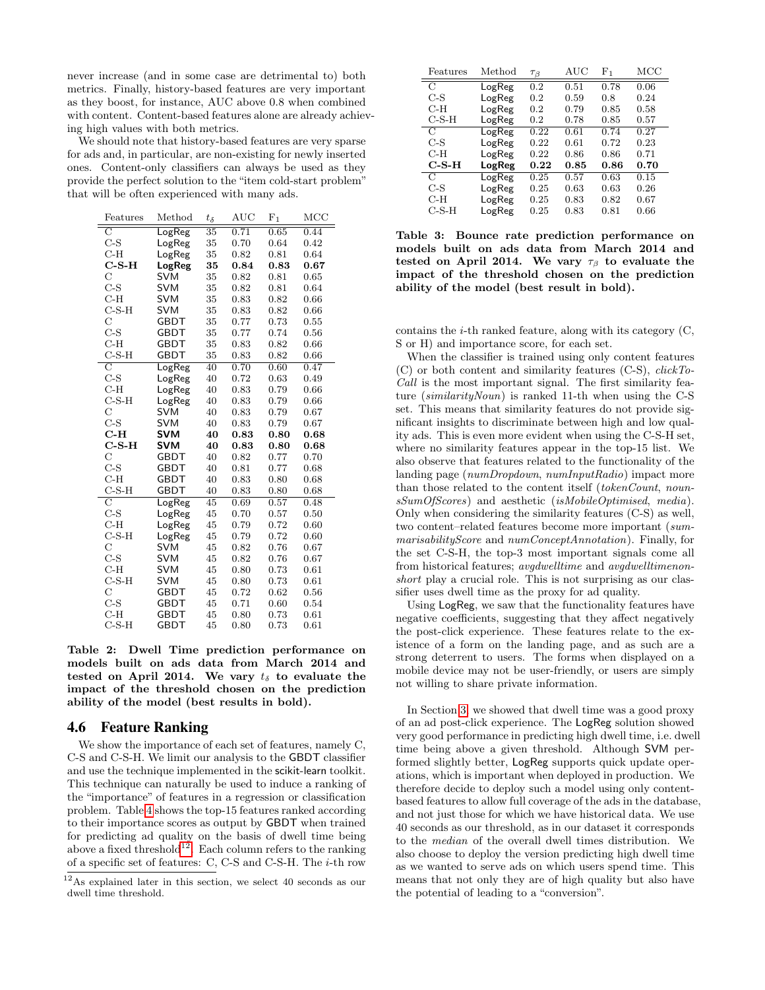never increase (and in some case are detrimental to) both metrics. Finally, history-based features are very important as they boost, for instance, AUC above 0.8 when combined with content. Content-based features alone are already achieving high values with both metrics.

We should note that history-based features are very sparse for ads and, in particular, are non-existing for newly inserted ones. Content-only classifiers can always be used as they provide the perfect solution to the "item cold-start problem" that will be often experienced with many ads.

| Features           | Method      | $t_\delta$      | $_{\rm AUC}$ | $\mathrm{F}_1$ | $_{\mathrm{MCC}}$ |
|--------------------|-------------|-----------------|--------------|----------------|-------------------|
| $\overline{\rm C}$ | LogReg      | $\overline{35}$ | 0.71         | 0.65           | 0.44              |
| $C-S$              | LogReg      | 35              | 0.70         | 0.64           | 0.42              |
| $C-H$              | LogReg      | 35              | 0.82         | 0.81           | 0.64              |
| $C-S-H$            | LogReg      | 35              | 0.84         | 0.83           | 0.67              |
| Ċ                  | <b>SVM</b>  | 35              | 0.82         | 0.81           | 0.65              |
| $C-S$              | <b>SVM</b>  | 35              | 0.82         | 0.81           | 0.64              |
| $C-H$              | <b>SVM</b>  | 35              | 0.83         | $\rm 0.82$     | 0.66              |
| $C-S-H$            | <b>SVM</b>  | 35              | 0.83         | 0.82           | 0.66              |
| Ċ                  | <b>GBDT</b> | 35              | 0.77         | 0.73           | 0.55              |
| $C-S$              | <b>GBDT</b> | 35              | 0.77         | 0.74           | 0.56              |
| $C-H$              | GBDT        | 35              | 0.83         | 0.82           | 0.66              |
| $C-S-H$            | <b>GBDT</b> | 35              | 0.83         | 0.82           | 0.66              |
| $\overline{\rm C}$ | LogReg      | 40              | 0.70         | 0.60           | 0.47              |
| $C-S$              | LogReg      | 40              | 0.72         | 0.63           | 0.49              |
| $C-H$              | LogReg      | 40              | 0.83         | 0.79           | 0.66              |
| $C-S-H$            | LogReg      | 40              | 0.83         | 0.79           | 0.66              |
| $\mathcal{C}$      | <b>SVM</b>  | 40              | 0.83         | 0.79           | 0.67              |
| $C-S$              | <b>SVM</b>  | 40              | 0.83         | 0.79           | 0.67              |
| $C-H$              | SVM         | 40              | 0.83         | 0.80           | 0.68              |
| $C-S-H$            | <b>SVM</b>  | 40              | 0.83         | 0.80           | 0.68              |
| $\rm _C$           | <b>GBDT</b> | 40              | 0.82         | 0.77           | 0.70              |
| $C-S$              | GBDT        | 40              | 0.81         | 0.77           | 0.68              |
| $C-H$              | GBDT        | 40              | 0.83         | 0.80           | 0.68              |
| $C-S-H$            | <b>GBDT</b> | 40              | 0.83         | 0.80           | 0.68              |
| $\overline{\rm C}$ | LogReg      | 45              | 0.69         | 0.57           | 0.48              |
| $C-S$              | LogReg      | 45              | 0.70         | 0.57           | 0.50              |
| $C-H$              | LogReg      | 45              | 0.79         | 0.72           | 0.60              |
| $C-S-H$            | LogReg      | 45              | 0.79         | 0.72           | 0.60              |
| $\mathbf C$        | <b>SVM</b>  | 45              | 0.82         | 0.76           | 0.67              |
| $C-S$              | <b>SVM</b>  | 45              | 0.82         | 0.76           | 0.67              |
| $C-H$              | <b>SVM</b>  | 45              | 0.80         | 0.73           | 0.61              |
| $C-S-H$            | <b>SVM</b>  | 45              | 0.80         | 0.73           | 0.61              |
| $\mathbf C$        | <b>GBDT</b> | 45              | 0.72         | 0.62           | 0.56              |
| $C-S$              | <b>GBDT</b> | 45              | 0.71         | 0.60           | 0.54              |
| $C-H$              | <b>GBDT</b> | 45              | 0.80         | 0.73           | 0.61              |
| $C-S-H$            | <b>GBDT</b> | 45              | 0.80         | 0.73           | 0.61              |

<span id="page-6-0"></span>Table 2: Dwell Time prediction performance on models built on ads data from March 2014 and tested on April 2014. We vary  $t_{\delta}$  to evaluate the impact of the threshold chosen on the prediction ability of the model (best results in bold).

#### 4.6 Feature Ranking

We show the importance of each set of features, namely C, C-S and C-S-H. We limit our analysis to the GBDT classifier and use the technique implemented in the scikit-learn toolkit. This technique can naturally be used to induce a ranking of the "importance" of features in a regression or classification problem. Table [4](#page-7-0) shows the top-15 features ranked according to their importance scores as output by GBDT when trained for predicting ad quality on the basis of dwell time being above a fixed threshold<sup>[12](#page-6-2)</sup>. Each column refers to the ranking of a specific set of features: C, C-S and C-S-H. The i-th row

| Features      | Method | $\tau_{\beta}$ | $\rm AUC$ | $_{\rm F_1}$ | MCC  |
|---------------|--------|----------------|-----------|--------------|------|
| $\mathcal{C}$ | LogReg | 0.2            | 0.51      | 0.78         | 0.06 |
| $C-S$         | LogReg | 0.2            | 0.59      | 0.8          | 0.24 |
| C-H           | LogReg | 0.2            | 0.79      | 0.85         | 0.58 |
| $C-S-H$       | LogReg | 0.2            | 0.78      | 0.85         | 0.57 |
| $\mathcal{C}$ | LogReg | 0.22           | 0.61      | 0.74         | 0.27 |
| $C-S$         | LogReg | 0.22           | 0.61      | 0.72         | 0.23 |
| C-H           | LogReg | 0.22           | 0.86      | 0.86         | 0.71 |
| $C-S-H$       | LogReg | 0.22           | 0.85      | 0.86         | 0.70 |
| $\mathcal{C}$ | LogReg | 0.25           | 0.57      | 0.63         | 0.15 |
| $C-S$         | LogReg | 0.25           | 0.63      | 0.63         | 0.26 |
| C-H           | LogReg | 0.25           | 0.83      | 0.82         | 0.67 |
| C-S-H         | LogReg | 0.25           | 0.83      | 0.81         | 0.66 |

<span id="page-6-1"></span>Table 3: Bounce rate prediction performance on models built on ads data from March 2014 and tested on April 2014. We vary  $\tau_\beta$  to evaluate the impact of the threshold chosen on the prediction ability of the model (best result in bold).

contains the  $i$ -th ranked feature, along with its category  $(C,$ S or H) and importance score, for each set.

When the classifier is trained using only content features (C) or both content and similarity features (C-S), clickTo-Call is the most important signal. The first similarity feature (similarityNoun) is ranked 11-th when using the C-S set. This means that similarity features do not provide significant insights to discriminate between high and low quality ads. This is even more evident when using the C-S-H set, where no similarity features appear in the top-15 list. We also observe that features related to the functionality of the landing page (numDropdown, numInputRadio) impact more than those related to the content itself (tokenCount, nounsSumOfScores) and aesthetic (isMobileOptimised, media). Only when considering the similarity features (C-S) as well, two content–related features become more important (summarisabilityScore and numConceptAnnotation). Finally, for the set C-S-H, the top-3 most important signals come all from historical features; avgdwelltime and avgdwelltimenonshort play a crucial role. This is not surprising as our classifier uses dwell time as the proxy for ad quality.

Using LogReg, we saw that the functionality features have negative coefficients, suggesting that they affect negatively the post-click experience. These features relate to the existence of a form on the landing page, and as such are a strong deterrent to users. The forms when displayed on a mobile device may not be user-friendly, or users are simply not willing to share private information.

In Section [3,](#page-2-4) we showed that dwell time was a good proxy of an ad post-click experience. The LogReg solution showed very good performance in predicting high dwell time, i.e. dwell time being above a given threshold. Although SVM performed slightly better, LogReg supports quick update operations, which is important when deployed in production. We therefore decide to deploy such a model using only contentbased features to allow full coverage of the ads in the database, and not just those for which we have historical data. We use 40 seconds as our threshold, as in our dataset it corresponds to the median of the overall dwell times distribution. We also choose to deploy the version predicting high dwell time as we wanted to serve ads on which users spend time. This means that not only they are of high quality but also have the potential of leading to a "conversion".

<span id="page-6-2"></span> $12\text{As explained later in this section, we select }40$  seconds as our dwell time threshold.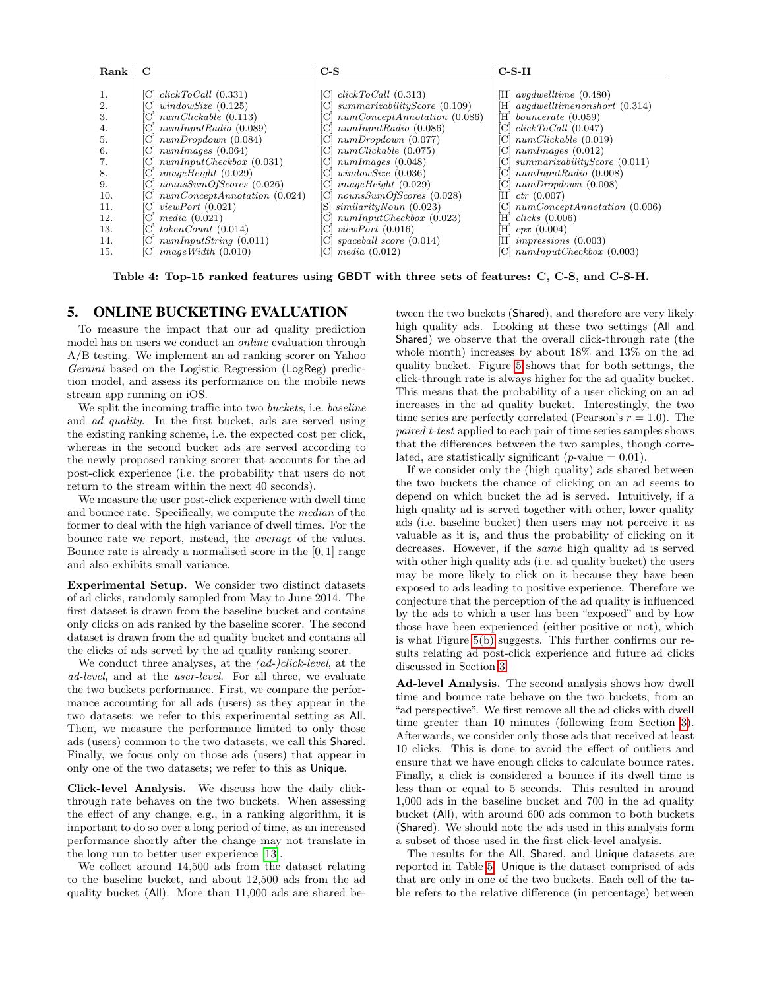| Rank                                                                                         | C                                                                                                                                                                                                                                                                                                                                                                                                                  | $C-S$                                                                                                                                                                                                                                                                                                                                                                                                                                                                         | $C-S-H$                                                                                                                                                                                                                                                                                                                                                                                                                                                              |
|----------------------------------------------------------------------------------------------|--------------------------------------------------------------------------------------------------------------------------------------------------------------------------------------------------------------------------------------------------------------------------------------------------------------------------------------------------------------------------------------------------------------------|-------------------------------------------------------------------------------------------------------------------------------------------------------------------------------------------------------------------------------------------------------------------------------------------------------------------------------------------------------------------------------------------------------------------------------------------------------------------------------|----------------------------------------------------------------------------------------------------------------------------------------------------------------------------------------------------------------------------------------------------------------------------------------------------------------------------------------------------------------------------------------------------------------------------------------------------------------------|
| 1.<br>2.<br>3.<br>4.<br>5.<br>6.<br>7.<br>8.<br>9.<br>10.<br>11.<br>12.<br>13.<br>14.<br>15. | $clickToCall$ (0.331)<br>ЮL<br>windowSize(0.125)<br>numClickable (0.113)<br>numInputRadio(0.089)<br>$[C]$ numDropdown $(0.084)$<br>$ C $ numImages $(0.064)$<br>$[C]$ numInputCheckbox $(0.031)$<br>$[C]$ imageHeight $(0.029)$<br>$[C]$ nounsSumOfScores (0.026)<br>numConceptAnnotation (0.024)<br>viewPort(0.021)<br>U<br>media(0.021)<br>CI<br>tokenCount(0.014)<br>numInputString(0.011)<br>imageWidth(0.010) | $clickToCall$ (0.313)<br>ICI<br>summarizabilityScore(0.109)<br>ICI<br>numConceptAnnotation (0.086)<br>ICI<br>numInputRadio(0.086)<br>ICI<br>numDropdown(0.077)<br>ICI<br>numClickable (0.075)<br>ICI<br>numImages (0.048)<br>ICI<br>windowSize(0.036)<br>C<br>imageHeight(0.029)<br>[C]<br>nounsSumOfScores (0.028)<br>ICI<br>$similarityNoun$ (0.023)<br>S1<br>numInputCheckbox (0.023)<br>IСI<br>viewPort(0.016)<br>ICI<br>$spaceball\_score(0.014)$<br>ICI<br>media(0.012) | [H] $avqdwelltime$ (0.480)<br>avgdwelltimenonshort (0.314)<br>ſΗl<br>$[H]$ bouncerate $(0.059)$<br>$clickToCall$ (0.047)<br>ICI.<br>$[C]$ numClickable $(0.019)$<br>$[C]$ numImages $(0.012)$<br>[C] summarizabilityScore $(0.011)$<br>numInputRadio(0.008)<br>ICI<br>numDropdown(0.008)<br>ICI<br>ſΗl<br>ctr (0.007)<br>numConceptAnnotation (0.006)<br>ICI<br>clicks(0.006)<br>H<br>Η<br>cpx(0.004)<br>impressions (0.003)<br>НI<br>numInputCheckbox(0.003)<br>[C] |

<span id="page-7-0"></span>Table 4: Top-15 ranked features using GBDT with three sets of features: C, C-S, and C-S-H.

#### 5. ONLINE BUCKETING EVALUATION

To measure the impact that our ad quality prediction model has on users we conduct an online evaluation through A/B testing. We implement an ad ranking scorer on Yahoo Gemini based on the Logistic Regression (LogReg) prediction model, and assess its performance on the mobile news stream app running on iOS.

We split the incoming traffic into two *buckets*, i.e. *baseline* and ad quality. In the first bucket, ads are served using the existing ranking scheme, i.e. the expected cost per click, whereas in the second bucket ads are served according to the newly proposed ranking scorer that accounts for the ad post-click experience (i.e. the probability that users do not return to the stream within the next 40 seconds).

We measure the user post-click experience with dwell time and bounce rate. Specifically, we compute the median of the former to deal with the high variance of dwell times. For the bounce rate we report, instead, the average of the values. Bounce rate is already a normalised score in the [0, 1] range and also exhibits small variance.

Experimental Setup. We consider two distinct datasets of ad clicks, randomly sampled from May to June 2014. The first dataset is drawn from the baseline bucket and contains only clicks on ads ranked by the baseline scorer. The second dataset is drawn from the ad quality bucket and contains all the clicks of ads served by the ad quality ranking scorer.

We conduct three analyses, at the *(ad-)click-level*, at the ad-level, and at the user-level. For all three, we evaluate the two buckets performance. First, we compare the performance accounting for all ads (users) as they appear in the two datasets; we refer to this experimental setting as All. Then, we measure the performance limited to only those ads (users) common to the two datasets; we call this Shared. Finally, we focus only on those ads (users) that appear in only one of the two datasets; we refer to this as Unique.

Click-level Analysis. We discuss how the daily clickthrough rate behaves on the two buckets. When assessing the effect of any change, e.g., in a ranking algorithm, it is important to do so over a long period of time, as an increased performance shortly after the change may not translate in the long run to better user experience [\[13\]](#page-9-27).

We collect around 14,500 ads from the dataset relating to the baseline bucket, and about 12,500 ads from the ad quality bucket (All). More than 11,000 ads are shared between the two buckets (Shared), and therefore are very likely high quality ads. Looking at these two settings (All and Shared) we observe that the overall click-through rate (the whole month) increases by about 18% and 13% on the ad quality bucket. Figure [5](#page-8-0) shows that for both settings, the click-through rate is always higher for the ad quality bucket. This means that the probability of a user clicking on an ad increases in the ad quality bucket. Interestingly, the two time series are perfectly correlated (Pearson's  $r = 1.0$ ). The paired t-test applied to each pair of time series samples shows that the differences between the two samples, though correlated, are statistically significant (*p*-value  $= 0.01$ ).

If we consider only the (high quality) ads shared between the two buckets the chance of clicking on an ad seems to depend on which bucket the ad is served. Intuitively, if a high quality ad is served together with other, lower quality ads (i.e. baseline bucket) then users may not perceive it as valuable as it is, and thus the probability of clicking on it decreases. However, if the same high quality ad is served with other high quality ads (i.e. ad quality bucket) the users may be more likely to click on it because they have been exposed to ads leading to positive experience. Therefore we conjecture that the perception of the ad quality is influenced by the ads to which a user has been "exposed" and by how those have been experienced (either positive or not), which is what Figure [5\(b\)](#page-8-1) suggests. This further confirms our results relating ad post-click experience and future ad clicks discussed in Section [3.](#page-2-4)

Ad-level Analysis. The second analysis shows how dwell time and bounce rate behave on the two buckets, from an "ad perspective". We first remove all the ad clicks with dwell time greater than 10 minutes (following from Section [3\)](#page-2-4). Afterwards, we consider only those ads that received at least 10 clicks. This is done to avoid the effect of outliers and ensure that we have enough clicks to calculate bounce rates. Finally, a click is considered a bounce if its dwell time is less than or equal to 5 seconds. This resulted in around 1,000 ads in the baseline bucket and 700 in the ad quality bucket (All), with around 600 ads common to both buckets (Shared). We should note the ads used in this analysis form a subset of those used in the first click-level analysis.

The results for the All, Shared, and Unique datasets are reported in Table [5.](#page-8-2) Unique is the dataset comprised of ads that are only in one of the two buckets. Each cell of the table refers to the relative difference (in percentage) between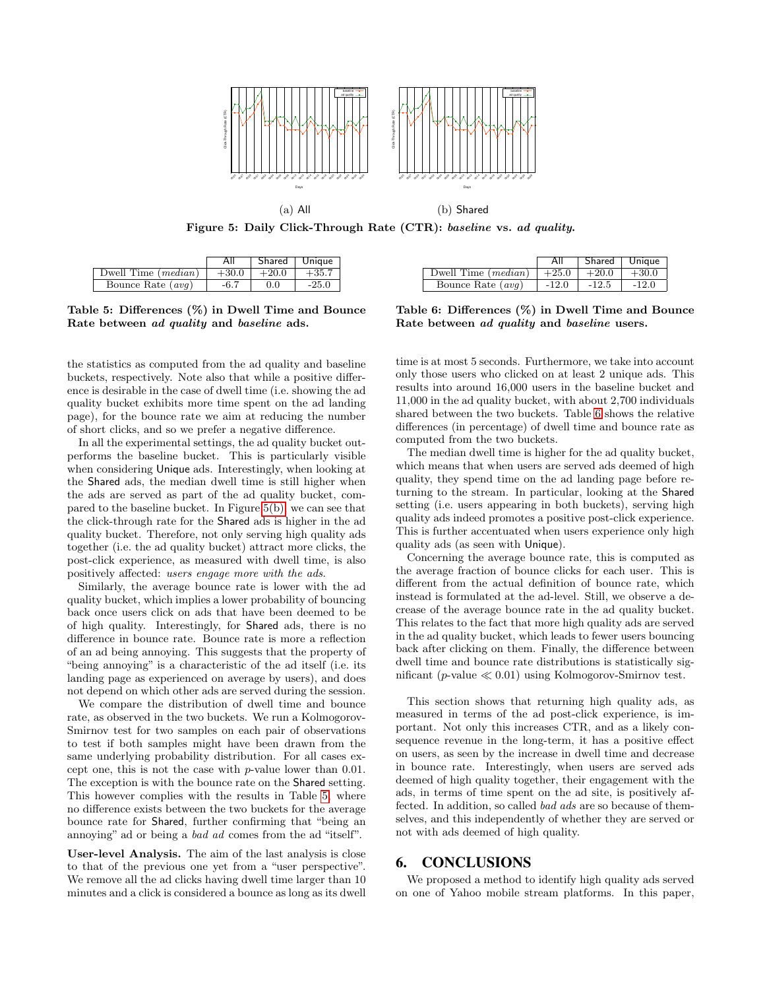

<span id="page-8-0"></span>Figure 5: Daily Click-Through Rate (CTR): baseline vs. ad quality.

<span id="page-8-2"></span>

|                       |         | Shared  | Unique  |
|-----------------------|---------|---------|---------|
| Dwell Time $(median)$ | $+30.0$ | $+20.0$ | $+35.7$ |
| Bounce Rate $(avg)$   | $-6.7$  | 0.0     | $-25.0$ |

Table 5: Differences (%) in Dwell Time and Bounce Rate between ad quality and baseline ads.

the statistics as computed from the ad quality and baseline buckets, respectively. Note also that while a positive difference is desirable in the case of dwell time (i.e. showing the ad quality bucket exhibits more time spent on the ad landing page), for the bounce rate we aim at reducing the number of short clicks, and so we prefer a negative difference.

In all the experimental settings, the ad quality bucket outperforms the baseline bucket. This is particularly visible when considering Unique ads. Interestingly, when looking at the Shared ads, the median dwell time is still higher when the ads are served as part of the ad quality bucket, compared to the baseline bucket. In Figure [5\(b\),](#page-8-1) we can see that the click-through rate for the Shared ads is higher in the ad quality bucket. Therefore, not only serving high quality ads together (i.e. the ad quality bucket) attract more clicks, the post-click experience, as measured with dwell time, is also positively affected: users engage more with the ads.

Similarly, the average bounce rate is lower with the ad quality bucket, which implies a lower probability of bouncing back once users click on ads that have been deemed to be of high quality. Interestingly, for Shared ads, there is no difference in bounce rate. Bounce rate is more a reflection of an ad being annoying. This suggests that the property of "being annoying" is a characteristic of the ad itself (i.e. its landing page as experienced on average by users), and does not depend on which other ads are served during the session.

We compare the distribution of dwell time and bounce rate, as observed in the two buckets. We run a Kolmogorov-Smirnov test for two samples on each pair of observations to test if both samples might have been drawn from the same underlying probability distribution. For all cases except one, this is not the case with p-value lower than 0.01. The exception is with the bounce rate on the Shared setting. This however complies with the results in Table [5,](#page-8-2) where no difference exists between the two buckets for the average bounce rate for Shared, further confirming that "being an annoying" ad or being a bad ad comes from the ad "itself".

User-level Analysis. The aim of the last analysis is close to that of the previous one yet from a "user perspective". We remove all the ad clicks having dwell time larger than 10 minutes and a click is considered a bounce as long as its dwell

<span id="page-8-3"></span><span id="page-8-1"></span>

|                       | Αll     | Shared Unique |         |
|-----------------------|---------|---------------|---------|
| Dwell Time $(median)$ | $+25.0$ | $+20.0$       | $+30.0$ |
| Bounce Rate $(avg)$   | $-12.0$ | $-12.5$       | $-12.0$ |

Table 6: Differences (%) in Dwell Time and Bounce Rate between ad quality and baseline users.

time is at most 5 seconds. Furthermore, we take into account only those users who clicked on at least 2 unique ads. This results into around 16,000 users in the baseline bucket and 11,000 in the ad quality bucket, with about 2,700 individuals shared between the two buckets. Table [6](#page-8-3) shows the relative differences (in percentage) of dwell time and bounce rate as computed from the two buckets.

The median dwell time is higher for the ad quality bucket, which means that when users are served ads deemed of high quality, they spend time on the ad landing page before returning to the stream. In particular, looking at the Shared setting (i.e. users appearing in both buckets), serving high quality ads indeed promotes a positive post-click experience. This is further accentuated when users experience only high quality ads (as seen with Unique).

Concerning the average bounce rate, this is computed as the average fraction of bounce clicks for each user. This is different from the actual definition of bounce rate, which instead is formulated at the ad-level. Still, we observe a decrease of the average bounce rate in the ad quality bucket. This relates to the fact that more high quality ads are served in the ad quality bucket, which leads to fewer users bouncing back after clicking on them. Finally, the difference between dwell time and bounce rate distributions is statistically significant (p-value  $\ll 0.01$ ) using Kolmogorov-Smirnov test.

This section shows that returning high quality ads, as measured in terms of the ad post-click experience, is important. Not only this increases CTR, and as a likely consequence revenue in the long-term, it has a positive effect on users, as seen by the increase in dwell time and decrease in bounce rate. Interestingly, when users are served ads deemed of high quality together, their engagement with the ads, in terms of time spent on the ad site, is positively affected. In addition, so called bad ads are so because of themselves, and this independently of whether they are served or not with ads deemed of high quality.

#### 6. CONCLUSIONS

We proposed a method to identify high quality ads served on one of Yahoo mobile stream platforms. In this paper,